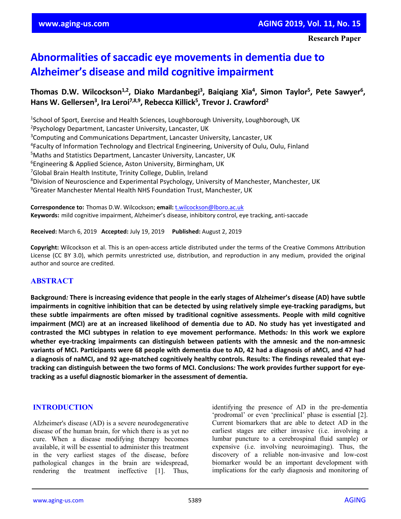# **Abnormalities of saccadic eye movements in dementia due to Alzheimer's disease and mild cognitive impairment**

# Thomas D.W. Wilcockson<sup>1,2</sup>, Diako Mardanbegi<sup>3</sup>, Baiqiang Xia<sup>4</sup>, Simon Taylor<sup>5</sup>, Pete Sawyer<sup>6</sup>, **Hans W. Gellersen3 , Ira Leroi7,8,9, Rebecca Killick5 , Trevor J. Crawford2**

<sup>1</sup>School of Sport, Exercise and Health Sciences, Loughborough University, Loughborough, UK Psychology Department, Lancaster University, Lancaster, UK <sup>3</sup>Computing and Communications Department, Lancaster University, Lancaster, UK Faculty of Information Technology and Electrical Engineering, University of Oulu, Oulu, Finland Maths and Statistics Department, Lancaster University, Lancaster, UK Engineering & Applied Science, Aston University, Birmingham, UK Global Brain Health Institute, Trinity College, Dublin, Ireland Division of Neuroscience and Experimental Psychology, University of Manchester, Manchester, UK <sup>9</sup>Greater Manchester Mental Health NHS Foundation Trust, Manchester, UK

**Correspondence to:** Thomas D.W. Wilcockson; **email:** t.wilcockson@lboro.ac.uk **Keywords:** mild cognitive impairment, Alzheimer's disease, inhibitory control, eye tracking, anti-saccade

**Received:** March 6, 2019 **Accepted:** July 19, 2019 **Published:** August 2, 2019

**Copyright:** Wilcockson et al. This is an open-access article distributed under the terms of the Creative Commons Attribution License (CC BY 3.0), which permits unrestricted use, distribution, and reproduction in any medium, provided the original author and source are credited.

## **ABSTRACT**

Background: There is increasing evidence that people in the early stages of Alzheimer's disease (AD) have subtle **impairments in cognitive inhibition that can be detected by using relatively simple eye-tracking paradigms, but these subtle impairments are often missed by traditional cognitive assessments. People with mild cognitive** impairment (MCI) are at an increased likelihood of dementia due to AD. No study has yet investigated and **contrasted the MCI subtypes in relation to eye movement performance. Methods***:* **In this work we explore whether eye-tracking impairments can distinguish between patients with the amnesic and the non-amnesic** variants of MCI. Participants were 68 people with dementia due to AD, 42 had a diagnosis of aMCI, and 47 had **a diagnosis of naMCI, and 92 age-matched cognitively healthy controls. Results: The findings revealed that eye**tracking can distinguish between the two forms of MCI. Conclusions: The work provides further support for eye**tracking as a useful diagnostic biomarker in the assessment of dementia.**

#### **INTRODUCTION**

Alzheimer's disease (AD) is a severe neurodegenerative disease of the human brain, for which there is as yet no cure. When a disease modifying therapy becomes available, it will be essential to administer this treatment in the very earliest stages of the disease, before pathological changes in the brain are widespread, rendering the treatment ineffective [1]. Thus, identifying the presence of AD in the pre-dementia 'prodromal' or even 'preclinical' phase is essential [2]. Current biomarkers that are able to detect AD in the earliest stages are either invasive (i.e. involving a lumbar puncture to a cerebrospinal fluid sample) or expensive (i.e. involving neuroimaging). Thus, the discovery of a reliable non-invasive and low-cost biomarker would be an important development with implications for the early diagnosis and monitoring of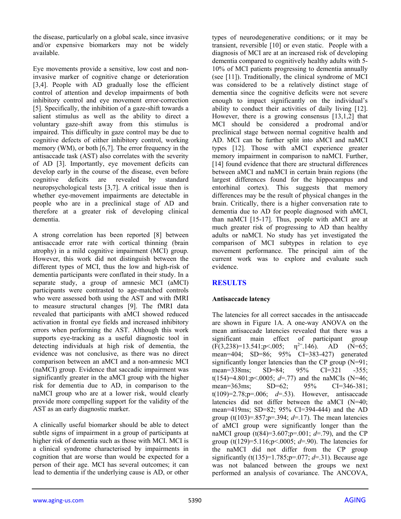the disease, particularly on a global scale, since invasive and/or expensive biomarkers may not be widely available.

Eye movements provide a sensitive, low cost and noninvasive marker of cognitive change or deterioration [3,4]. People with AD gradually lose the efficient control of attention and develop impairments of both inhibitory control and eye movement error-correction [5]. Specifically, the inhibition of a gaze-shift towards a salient stimulus as well as the ability to direct a voluntary gaze-shift away from this stimulus is impaired. This difficulty in gaze control may be due to cognitive defects of either inhibitory control, working memory (WM), or both [6,7]. The error frequency in the antisaccade task (AST) also correlates with the severity of AD [3]. Importantly, eye movement deficits can develop early in the course of the disease, even before cognitive deficits are revealed by standard neuropsychological tests [3,7]. A critical issue then is whether eye-movement impairments are detectable in people who are in a preclinical stage of AD and therefore at a greater risk of developing clinical dementia.

A strong correlation has been reported [8] between antisaccade error rate with cortical thinning (brain atrophy) in a mild cognitive impairment (MCI) group. However, this work did not distinguish between the different types of MCI, thus the low and high-risk of dementia participants were conflated in their study. In a separate study, a group of amnesic MCI (aMCI) participants were contrasted to age-matched controls who were assessed both using the AST and with fMRI to measure structural changes [9]. The fMRI data revealed that participants with aMCI showed reduced activation in frontal eye fields and increased inhibitory errors when performing the AST. Although this work supports eye-tracking as a useful diagnostic tool in detecting individuals at high risk of dementia, the evidence was not conclusive, as there was no direct comparison between an aMCI and a non-amnesic MCI (naMCI) group. Evidence that saccadic impairment was significantly greater in the aMCI group with the higher risk for dementia due to AD, in comparison to the naMCI group who are at a lower risk, would clearly provide more compelling support for the validity of the AST as an early diagnostic marker.

A clinically useful biomarker should be able to detect subtle signs of impairment in a group of participants at higher risk of dementia such as those with MCI. MCI is a clinical syndrome characterised by impairments in cognition that are worse than would be expected for a person of their age. MCI has several outcomes; it can lead to dementia if the underlying cause is AD, or other

types of neurodegenerative conditions; or it may be transient, reversible [10] or even static. People with a diagnosis of MCI are at an increased risk of developing dementia compared to cognitively healthy adults with 5- 10% of MCI patients progressing to dementia annually (see [11]). Traditionally, the clinical syndrome of MCI was considered to be a relatively distinct stage of dementia since the cognitive deficits were not severe enough to impact significantly on the individual's ability to conduct their activities of daily living [12]. However, there is a growing consensus [13,1,2] that MCI should be considered a prodromal and/or preclinical stage between normal cognitive health and AD. MCI can be further split into aMCI and naMCI types [12]. Those with aMCI experience greater memory impairment in comparison to naMCI. Further, [14] found evidence that there are structural differences between aMCI and naMCI in certain brain regions (the largest differences found for the hippocampus and entorhinal cortex). This suggests that memory differences may be the result of physical changes in the brain. Critically, there is a higher conversation rate to dementia due to AD for people diagnosed with aMCI, than naMCI [15-17]. Thus, people with aMCI are at much greater risk of progressing to AD than healthy adults or naMCI. No study has yet investigated the comparison of MCI subtypes in relation to eye movement performance. The principal aim of the current work was to explore and evaluate such evidence.

## **RESULTS**

## **Antisaccade latency**

The latencies for all correct saccades in the antisaccade are shown in Figure 1A. A one-way ANOVA on the mean antisaccade latencies revealed that there was a significant main effect of participant group  $(F(3,238)=13.541; p<.005; \quad p^{2} = .146)$ . AD (N=65; mean=404; SD=86; 95% CI=383-427) generated significantly longer latencies than the CP group (N=91; mean=338ms; SD=84; 95% CI=321 -355; t(154)=4.801;p<.0005;  $d=77$ ) and the naMCIs (N=46; mean=363ms; SD=62; 95% CI=346-381; t(109)=2.78;p=.006; *d*=.53). However, antisaccade latencies did not differ between the aMCI (N=40; mean=419ms; SD=82; 95% CI=394-444) and the AD group (t(103)=.857;p=.394; *d*=.17). The mean latencies of aMCI group were significantly longer than the naMCI group  $(t(84)=3.607; p=.001; d=.79)$ , and the CP group (t(129)=5.116;p<.0005; *d*=.90). The latencies for the naMCI did not differ from the CP group significantly (t(135)=1.785;p=.077; *d*=.31). Because age was not balanced between the groups we next performed an analysis of covariance. The ANCOVA,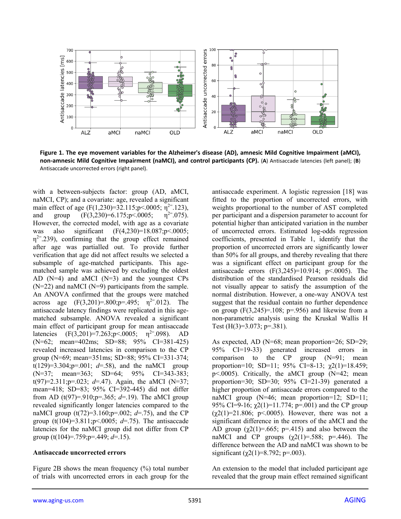

**Figure 1. The eye movement variables for the Alzheimer's disease (AD), amnesic Mild Cognitive Impairment (aMCI), non-amnesic Mild Cognitive Impairment (naMCI), and control participants (CP).** (**A**) Antisaccade latencies (left panel); (**B**) Antisaccade uncorrected errors (right panel).

with a between-subjects factor: group (AD, aMCI, naMCI, CP); and a covariate: age, revealed a significant main effect of age (F(1,230)=32.115;p<.0005;  $\eta^{2}$ =.123), and group  $(F(3,230)=6.175; p<.0005; \eta^{2}=.075)$ . However, the corrected model, with age as a covariate was also significant (F(4,230)=18.087;p<.0005;  $\eta^{2}$ = (239), confirming that the group effect remained after age was partialled out. To provide further verification that age did not affect results we selected a subsample of age-matched participants. This agematched sample was achieved by excluding the oldest AD  $(N=4)$  and aMCI  $(N=3)$  and the youngest CPs  $(N=22)$  and naMCI  $(N=9)$  participants from the sample. An ANOVA confirmed that the groups were matched across age  $(F(3,201)=.800; p=.495; \eta^{2}=.012)$ . The antisaccade latency findings were replicated in this agematched subsample. ANOVA revealed a significant main effect of participant group for mean antisaccade latencies  $(F(3,201)=7.263; p<.0005; \eta^{2}=0.098)$ . AD (N=62; mean=402ms; SD=88; 95% CI=381-425) revealed increased latencies in comparison to the CP group (N=69; mean=351ms; SD=88; 95% CI=331-374; t(129)=3.304;p=.001;  $d=58$ ), and the naMCI group (N=37; mean=363; SD=64; 95% CI=343-383; t(97)=2.311;p=.023; *d*=.47). Again, the aMCI (N=37; mean=418; SD=83; 95% CI=392-445) did not differ from AD (t(97)=.910;p=.365;  $d=$ .19). The aMCI group revealed significantly longer latencies compared to the naMCI group (t(72)=3.160;p=.002; *d*=.75), and the CP group (t(104)=3.811;p<.0005; *d*=.75). The antisaccade latencies for the naMCI group did not differ from CP group (t(104)=.759;p=.449; *d*=.15).

#### **Antisaccade uncorrected errors**

Figure 2B shows the mean frequency (%) total number of trials with uncorrected errors in each group for the

antisaccade experiment. A logistic regression [18] was fitted to the proportion of uncorrected errors, with weights proportional to the number of AST completed per participant and a dispersion parameter to account for potential higher than anticipated variation in the number of uncorrected errors. Estimated log-odds regression coefficients, presented in Table 1, identify that the proportion of uncorrected errors are significantly lower than 50% for all groups, and thereby revealing that there was a significant effect on participant group for the antisaccade errors  $(F(3,245)=10.914; p<.0005)$ . The distribution of the standardised Pearson residuals did not visually appear to satisfy the assumption of the normal distribution. However, a one-way ANOVA test suggest that the residual contain no further dependence on group  $(F(3,245)=.108; p=.956)$  and likewise from a non-parametric analysis using the Kruskal Wallis H Test (H(3)=3.073; p=.381).

As expected, AD (N=68; mean proportion=26; SD=29; 95% CI=19-33) generated increased errors in comparison to the  $CP$  group  $(N=91;$  mean proportion=10; SD=11; 95% CI=8-13;  $\gamma$ 2(1)=18.459; p<.0005). Critically, the aMCI group (N=42; mean proportion=30; SD=30; 95% CI=21-39) generated a higher proportion of antisaccade errors compared to the naMCI group (N=46; mean proportion=12; SD=11; 95% CI=9-16;  $\chi$ 2(1)=11.774; p=.001) and the CP group  $(\gamma 2(1)=21.806; \; p<.0005)$ . However, there was not a significant difference in the errors of the aMCI and the AD group  $(\chi^2(1)=.665; \; p=.415)$  and also between the naMCI and CP groups  $(\gamma 2(1)=.588; \text{ p}=.446)$ . The difference between the AD and naMCI was shown to be significant ( $\chi$ 2(1)=8.792; p=.003).

An extension to the model that included participant age revealed that the group main effect remained significant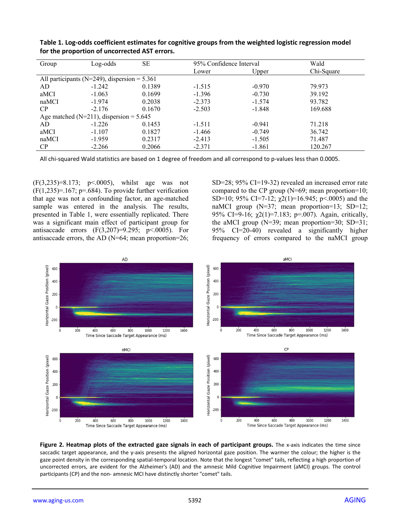| Group                                          | Log-odds | <b>SE</b> | 95% Confidence Interval |          | Wald       |  |  |  |  |
|------------------------------------------------|----------|-----------|-------------------------|----------|------------|--|--|--|--|
|                                                |          |           | Lower                   | Upper    | Chi-Square |  |  |  |  |
| All participants (N=249), dispersion = $5.361$ |          |           |                         |          |            |  |  |  |  |
| AD                                             | $-1.242$ | 0.1389    | $-1.515$                | $-0.970$ | 79.973     |  |  |  |  |
| aMCI                                           | $-1.063$ | 0.1699    | $-1.396$                | $-0.730$ | 39.192     |  |  |  |  |
| naMCI                                          | $-1.974$ | 0.2038    | $-2.373$                | $-1.574$ | 93.782     |  |  |  |  |
| CP                                             | $-2.176$ | 0.1670    | $-2.503$                | $-1.848$ | 169.688    |  |  |  |  |
| Age matched ( $N=211$ ), dispersion = 5.645    |          |           |                         |          |            |  |  |  |  |
| AD                                             | $-1.226$ | 0.1453    | $-1.511$                | $-0.941$ | 71.218     |  |  |  |  |
| aMCI                                           | $-1.107$ | 0.1827    | $-1.466$                | $-0.749$ | 36.742     |  |  |  |  |
| naMCI                                          | $-1.959$ | 0.2317    | $-2.413$                | $-1.505$ | 71.487     |  |  |  |  |
| CP                                             | $-2.266$ | 0.2066    | $-2.371$                | $-1.861$ | 120.267    |  |  |  |  |

**Table 1. Log-odds coefficient estimates for cognitive groups from the weighted logistic regression model for the proportion of uncorrected AST errors.** 

All chi-squared Wald statistics are based on 1 degree of freedom and all correspond to p-values less than 0.0005.

(F(3,235)=8.173; p<.0005), whilst age was not  $(F(1,235)=.167; p=.684)$ . To provide further verification that age was not a confounding factor, an age-matched sample was entered in the analysis. The results, presented in Table 1, were essentially replicated. There was a significant main effect of participant group for antisaccade errors (F(3,207)=9.295; p<.0005). For antisaccade errors, the AD (N=64; mean proportion=26;

SD=28; 95% CI=19-32) revealed an increased error rate compared to the CP group ( $N=69$ ; mean proportion=10; SD=10; 95% CI=7-12;  $\chi$ 2(1)=16.945; p<.0005) and the naMCI group (N=37; mean proportion=13; SD=12; 95% CI=9-16;  $\gamma$ 2(1)=7.183; p=.007). Again, critically, the aMCI group (N=39; mean proportion=30; SD=31; 95% CI=20-40) revealed a significantly higher frequency of errors compared to the naMCI group



**Figure 2. Heatmap plots of the extracted gaze signals in each of participant groups.** The x-axis indicates the time since saccadic target appearance, and the y-axis presents the aligned horizontal gaze position. The warmer the colour; the higher is the gaze point density in the corresponding spatial-temporal location. Note that the longest "comet" tails, reflecting a high proportion of uncorrected errors, are evident for the Alzheimer's (AD) and the amnesic Mild Cognitive Impairment (aMCI) groups. The control participants (CP) and the non- amnesic MCI have distinctly shorter "comet" tails.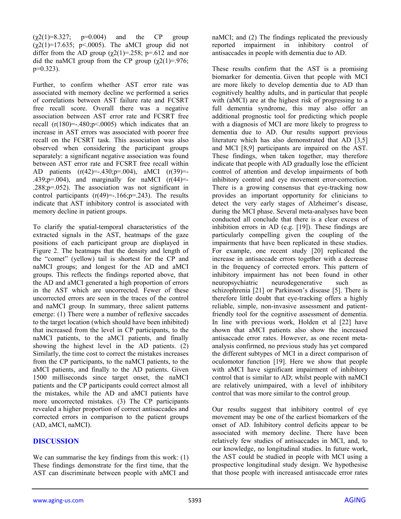$(\gamma 2(1)=8.327; \quad p=0.004)$  and the CP group  $(\gamma_2(1)=17.635; \, p<0.0005)$ . The aMCI group did not differ from the AD group ( $\chi$ 2(1)=.258; p=.612 and nor did the naMCI group from the CP group  $(\chi^2(1)=.976)$ ;  $p=0.323$ ).

Further, to confirm whether AST error rate was associated with memory decline we performed a series of correlations between AST failure rate and FCSRT free recall score. Overall there was a negative association between AST error rate and FCSRT free recall  $(r(180)=-.480;p<.0005)$  which indicates that an increase in AST errors was associated with poorer free recall on the FCSRT task. This association was also observed when considering the participant groups separately: a significant negative association was found between AST error rate and FCSRT free recall within AD patients (r(42)=-.430;p=.004), aMCI (r(39)=- .439;p=.004), and marginally for naMCI  $(r(44)$ =-.288;p=.052). The association was not significant in control participants  $(r(49)=.166;p=.243)$ . The results indicate that AST inhibitory control is associated with memory decline in patient groups.

To clarify the spatial-temporal characteristics of the extracted signals in the AST, heatmaps of the gaze positions of each participant group are displayed in Figure 2. The heatmaps that the density and length of the "comet" (yellow) tail is shortest for the CP and naMCI groups; and longest for the AD and aMCI groups. This reflects the findings reported above, that the AD and aMCI generated a high proportion of errors in the AST which are uncorrected. Fewer of these uncorrected errors are seen in the traces of the control and naMCI group. In summary, three salient patterns emerge: (1) There were a number of reflexive saccades to the target location (which should have been inhibited) that increased from the level in CP participants, to the naMCI patients, to the aMCI patients, and finally showing the highest level in the AD patients. (2) Similarly, the time cost to correct the mistakes increases from the CP participants, to the naMCI patients, to the aMCI patients, and finally to the AD patients. Given 1500 milliseconds since target onset, the naMCI patients and the CP participants could correct almost all the mistakes, while the AD and aMCI patients have more uncorrected mistakes. (3) The CP participants revealed a higher proportion of correct antisaccades and corrected errors in comparison to the patient groups (AD, aMCI, naMCI).

## **DISCUSSION**

We can summarise the key findings from this work: (1) These findings demonstrate for the first time, that the AST can discriminate between people with aMCI and naMCI; and (2) The findings replicated the previously reported impairment in inhibitory control of antisaccades in people with dementia due to AD.

These results confirm that the AST is a promising biomarker for dementia. Given that people with MCI are more likely to develop dementia due to AD than cognitively healthy adults, and in particular that people with (aMCI) are at the highest risk of progressing to a full dementia syndrome, this may also offer an additional prognostic tool for predicting which people with a diagnosis of MCI are more likely to progress to dementia due to AD. Our results support previous literature which has also demonstrated that AD [3,5] and MCI [8,9] participants are impaired on the AST. These findings, when taken together, may therefore indicate that people with AD gradually lose the efficient control of attention and develop impairments of both inhibitory control and eye movement error-correction. There is a growing consensus that eye-tracking now provides an important opportunity for clinicians to detect the very early stages of Alzheimer's disease, during the MCI phase. Several meta-analyses have been conducted all conclude that there is a clear excess of inhibition errors in AD (e.g. [19]). These findings are particularly compelling given the coupling of the impairments that have been replicated in these studies. For example, one recent study [20] replicated the increase in antisaccade errors together with a decrease in the frequency of corrected errors. This pattern of inhibitory impairment has not been found in other neuropsychiatric neurodegenerative such as schizophrenia [21] or Parkinson's disease [5]. There is therefore little doubt that eye-tracking offers a highly reliable, simple, non-invasive assessment and patientfriendly tool for the cognitive assessment of dementia. In line with previous work, Holden et al [22] have shown that aMCI patients also show the increased antisaccade error rates. However, as one recent metaanalysis confirmed, no previous study has yet compared the different subtypes of MCI in a direct comparison of oculomotor function [19]. Here we show that people with aMCI have significant impairment of inhibitory control that is similar to AD; whilst people with naMCI are relatively unimpaired, with a level of inhibitory control that was more similar to the control group.

Our results suggest that inhibitory control of eye movement may be one of the earliest biomarkers of the onset of AD. Inhibitory control deficits appear to be associated with memory decline. There have been relatively few studies of antisaccades in MCI, and, to our knowledge, no longitudinal studies. In future work, the AST could be studied in people with MCI using a prospective longitudinal study design. We hypothesise that those people with increased antisaccade error rates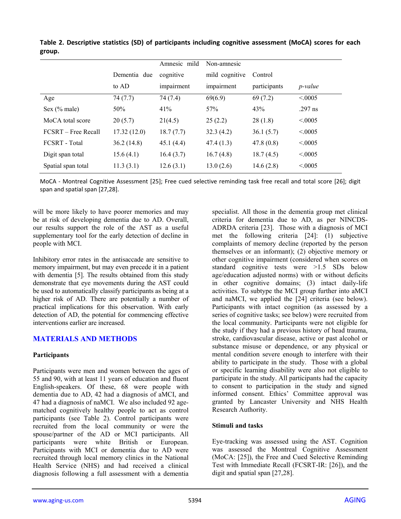|                      |              | Amnesic mild | Non-amnesic    |              |                 |
|----------------------|--------------|--------------|----------------|--------------|-----------------|
|                      | Dementia due | cognitive    | mild cognitive | Control      |                 |
|                      | to AD        | impairment   | impairment     | participants | <i>p</i> -value |
| Age                  | 74 (7.7)     | 74 (7.4)     | 69(6.9)        | 69(7.2)      | < 0.0005        |
| Sex (% male)         | 50%          | 41%          | 57%            | 43%          | $.297$ ns       |
| MoCA total score     | 20(5.7)      | 21(4.5)      | 25(2.2)        | 28(1.8)      | < 0.0005        |
| FCSRT – Free Recall  | 17.32(12.0)  | 18.7(7.7)    | 32.3(4.2)      | 36.1(5.7)    | < 0.0005        |
| <b>FCSRT</b> - Total | 36.2(14.8)   | 45.1(4.4)    | 47.4(1.3)      | 47.8(0.8)    | < 0.0005        |
| Digit span total     | 15.6(4.1)    | 16.4(3.7)    | 16.7(4.8)      | 18.7(4.5)    | < 0.0005        |
| Spatial span total   | 11.3(3.1)    | 12.6(3.1)    | 13.0(2.6)      | 14.6(2.8)    | < 0.0005        |

**Table 2. Descriptive statistics (SD) of participants including cognitive assessment (MoCA) scores for each group.**

MoCA - Montreal Cognitive Assessment [25]; Free cued selective reminding task free recall and total score [26]; digit span and spatial span [27,28].

will be more likely to have poorer memories and may be at risk of developing dementia due to AD. Overall, our results support the role of the AST as a useful supplementary tool for the early detection of decline in people with MCI.

Inhibitory error rates in the antisaccade are sensitive to memory impairment, but may even precede it in a patient with dementia [5]. The results obtained from this study demonstrate that eye movements during the AST could be used to automatically classify participants as being at a higher risk of AD. There are potentially a number of practical implications for this observation. With early detection of AD, the potential for commencing effective interventions earlier are increased.

## **MATERIALS AND METHODS**

#### **Participants**

Participants were men and women between the ages of 55 and 90, with at least 11 years of education and fluent English-speakers. Of these, 68 were people with dementia due to AD, 42 had a diagnosis of aMCI, and 47 had a diagnosis of naMCI. We also included 92 agematched cognitively healthy people to act as control participants (see Table 2). Control participants were recruited from the local community or were the spouse/partner of the AD or MCI participants. All participants were white British or European. Participants with MCI or dementia due to AD were recruited through local memory clinics in the National Health Service (NHS) and had received a clinical diagnosis following a full assessment with a dementia

specialist. All those in the dementia group met clinical criteria for dementia due to AD, as per NINCDS-ADRDA criteria [23]. Those with a diagnosis of MCI met the following criteria [24]: (1) subjective complaints of memory decline (reported by the person themselves or an informant); (2) objective memory or other cognitive impairment (considered when scores on standard cognitive tests were >1.5 SDs below age/education adjusted norms) with or without deficits in other cognitive domains; (3) intact daily-life activities. To subtype the MCI group further into aMCI and naMCI, we applied the [24] criteria (see below). Participants with intact cognition (as assessed by a series of cognitive tasks; see below) were recruited from the local community. Participants were not eligible for the study if they had a previous history of head trauma, stroke, cardiovascular disease, active or past alcohol or substance misuse or dependence, or any physical or mental condition severe enough to interfere with their ability to participate in the study. Those with a global or specific learning disability were also not eligible to participate in the study. All participants had the capacity to consent to participation in the study and signed informed consent. Ethics' Committee approval was granted by Lancaster University and NHS Health Research Authority.

#### **Stimuli and tasks**

Eye-tracking was assessed using the AST. Cognition was assessed the Montreal Cognitive Assessment (MoCA: [25]), the Free and Cued Selective Reminding Test with Immediate Recall (FCSRT-IR: [26]), and the digit and spatial span [27,28].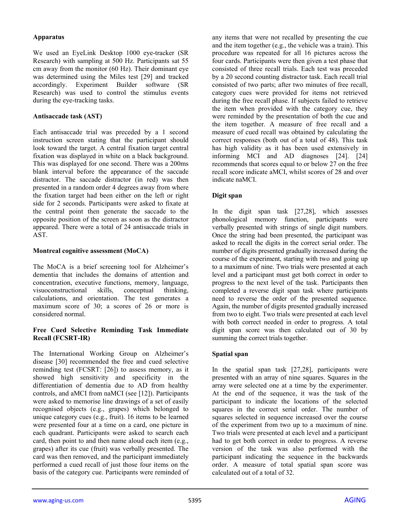#### **Apparatus**

We used an EyeLink Desktop 1000 eye-tracker (SR Research) with sampling at 500 Hz. Participants sat 55 cm away from the monitor (60 Hz). Their dominant eye was determined using the Miles test [29] and tracked accordingly. Experiment Builder software (SR Research) was used to control the stimulus events during the eye-tracking tasks.

#### **Antisaccade task (AST)**

Each antisaccade trial was preceded by a 1 second instruction screen stating that the participant should look toward the target. A central fixation target central fixation was displayed in white on a black background. This was displayed for one second. There was a 200ms blank interval before the appearance of the saccade distractor. The saccade distractor (in red) was then presented in a random order 4 degrees away from where the fixation target had been either on the left or right side for 2 seconds. Participants were asked to fixate at the central point then generate the saccade to the opposite position of the screen as soon as the distractor appeared. There were a total of 24 antisaccade trials in AST.

#### **Montreal cognitive assessment (MoCA)**

The MoCA is a brief screening tool for Alzheimer's dementia that includes the domains of attention and concentration, executive functions, memory, language, visuoconstructional skills, conceptual thinking, calculations, and orientation. The test generates a maximum score of 30; a scores of 26 or more is considered normal.

#### **Free Cued Selective Reminding Task Immediate Recall (FCSRT-IR)**

The International Working Group on Alzheimer's disease [30] recommended the free and cued selective reminding test (FCSRT: [26]) to assess memory, as it showed high sensitivity and specificity in the differentiation of dementia due to AD from healthy controls, and aMCI from naMCI (see [12]). Participants were asked to memorise line drawings of a set of easily recognised objects (e.g., grapes) which belonged to unique category cues (e.g., fruit). 16 items to be learned were presented four at a time on a card, one picture in each quadrant. Participants were asked to search each card, then point to and then name aloud each item (e.g., grapes) after its cue (fruit) was verbally presented. The card was then removed, and the participant immediately performed a cued recall of just those four items on the basis of the category cue. Participants were reminded of

any items that were not recalled by presenting the cue and the item together (e.g., the vehicle was a train). This procedure was repeated for all 16 pictures across the four cards. Participants were then given a test phase that consisted of three recall trials. Each test was preceded by a 20 second counting distractor task. Each recall trial consisted of two parts; after two minutes of free recall, category cues were provided for items not retrieved during the free recall phase. If subjects failed to retrieve the item when provided with the category cue, they were reminded by the presentation of both the cue and the item together. A measure of free recall and a measure of cued recall was obtained by calculating the correct responses (both out of a total of 48). This task has high validity as it has been used extensively in informing MCI and AD diagnoses [24]. [24] recommends that scores equal to or below 27 on the free recall score indicate aMCI, whilst scores of 28 and over indicate naMCI.

## **Digit span**

In the digit span task [27,28], which assesses phonological memory function, participants were verbally presented with strings of single digit numbers. Once the string had been presented, the participant was asked to recall the digits in the correct serial order. The number of digits presented gradually increased during the course of the experiment, starting with two and going up to a maximum of nine. Two trials were presented at each level and a participant must get both correct in order to progress to the next level of the task. Participants then completed a reverse digit span task where participants need to reverse the order of the presented sequence. Again, the number of digits presented gradually increased from two to eight. Two trials were presented at each level with both correct needed in order to progress. A total digit span score was then calculated out of 30 by summing the correct trials together.

## **Spatial span**

In the spatial span task [27,28], participants were presented with an array of nine squares. Squares in the array were selected one at a time by the experimenter. At the end of the sequence, it was the task of the participant to indicate the locations of the selected squares in the correct serial order. The number of squares selected in sequence increased over the course of the experiment from two up to a maximum of nine. Two trials were presented at each level and a participant had to get both correct in order to progress. A reverse version of the task was also performed with the participant indicating the sequence in the backwards order. A measure of total spatial span score was calculated out of a total of 32.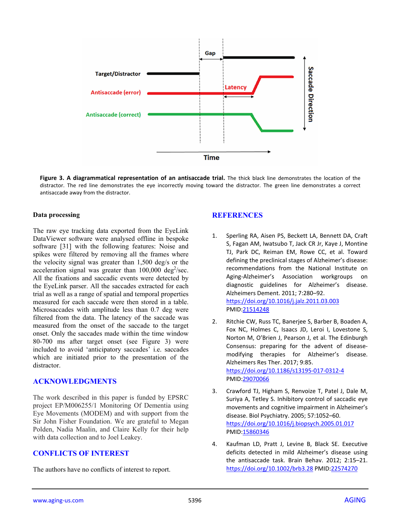

**Figure 3. A diagrammatical representation of an antisaccade trial.** The thick black line demonstrates the location of the distractor. The red line demonstrates the eye incorrectly moving toward the distractor. The green line demonstrates a correct antisaccade away from the distractor.

#### **Data processing**

The raw eye tracking data exported from the EyeLink DataViewer software were analysed offline in bespoke software [31] with the following features: Noise and spikes were filtered by removing all the frames where the velocity signal was greater than 1,500 deg/s or the acceleration signal was greater than  $100,000$  deg<sup>2</sup>/sec. All the fixations and saccadic events were detected by the EyeLink parser. All the saccades extracted for each trial as well as a range of spatial and temporal properties measured for each saccade were then stored in a table. Microsaccades with amplitude less than 0.7 deg were filtered from the data. The latency of the saccade was measured from the onset of the saccade to the target onset. Only the saccades made within the time window 80-700 ms after target onset (see Figure 3) were included to avoid 'anticipatory saccades' i.e. saccades which are initiated prior to the presentation of the distractor.

#### **ACKNOWLEDGMENTS**

The work described in this paper is funded by EPSRC project EP/M006255/1 Monitoring Of Dementia using Eye Movements (MODEM) and with support from the Sir John Fisher Foundation. We are grateful to Megan Polden, Nadia Maalin, and Claire Kelly for their help with data collection and to Joel Leakey.

#### **CONFLICTS OF INTEREST**

The authors have no conflicts of interest to report.

#### **REFERENCES**

- 1. Sperling RA, Aisen PS, Beckett LA, Bennett DA, Craft S, Fagan AM, Iwatsubo T, Jack CR Jr, Kaye J, Montine TJ, Park DC, Reiman EM, Rowe CC, et al. Toward defining the preclinical stages of Alzheimer's disease: recommendations from the National Institute on Aging-Alzheimer's Association workgroups on diagnostic guidelines for Alzheimer's disease. Alzheimers Dement. 2011; 7:280–92. <https://doi.org/10.1016/j.jalz.2011.03.003> PMI[D:21514248](https://www.ncbi.nlm.nih.gov/entrez/query.fcgi?cmd=Retrieve&db=PubMed&list_uids=21514248&dopt=Abstract)
- 2. Ritchie CW, Russ TC, Banerjee S, Barber B, Boaden A, Fox NC, Holmes C, Isaacs JD, Leroi I, Lovestone S, Norton M, O'Brien J, Pearson J, et al. The Edinburgh Consensus: preparing for the advent of diseasemodifying therapies for Alzheimer's disease. Alzheimers Res Ther. 2017; 9:85. <https://doi.org/10.1186/s13195-017-0312-4> PMI[D:29070066](https://www.ncbi.nlm.nih.gov/entrez/query.fcgi?cmd=Retrieve&db=PubMed&list_uids=29070066&dopt=Abstract)
- 3. Crawford TJ, Higham S, Renvoize T, Patel J, Dale M, Suriya A, Tetley S. Inhibitory control of saccadic eye movements and cognitive impairment in Alzheimer's disease. Biol Psychiatry. 2005; 57:1052–60. <https://doi.org/10.1016/j.biopsych.2005.01.017> PMI[D:15860346](https://www.ncbi.nlm.nih.gov/entrez/query.fcgi?cmd=Retrieve&db=PubMed&list_uids=15860346&dopt=Abstract)
- 4. Kaufman LD, Pratt J, Levine B, Black SE. Executive deficits detected in mild Alzheimer's disease using the antisaccade task. Brain Behav. 2012; 2:15–21. <https://doi.org/10.1002/brb3.28> PMID[:22574270](https://www.ncbi.nlm.nih.gov/entrez/query.fcgi?cmd=Retrieve&db=PubMed&list_uids=22574270&dopt=Abstract)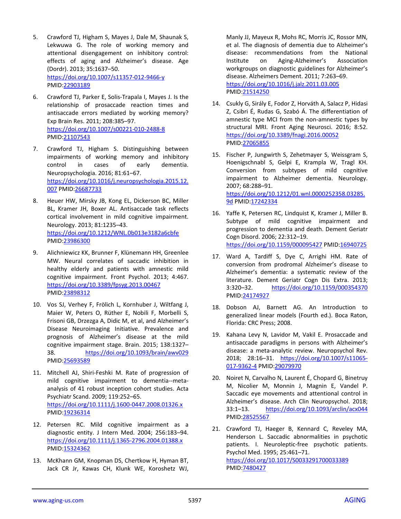- 5. Crawford TJ, Higham S, Mayes J, Dale M, Shaunak S, Lekwuwa G. The role of working memory and attentional disengagement on inhibitory control: effects of aging and Alzheimer's disease. Age (Dordr). 2013; 35:1637–50. <https://doi.org/10.1007/s11357-012-9466-y> PMID[:22903189](https://www.ncbi.nlm.nih.gov/entrez/query.fcgi?cmd=Retrieve&db=PubMed&list_uids=22903189&dopt=Abstract)
- 6. Crawford TJ, Parker E, Solis-Trapala I, Mayes J. Is the relationship of prosaccade reaction times and antisaccade errors mediated by working memory? Exp Brain Res. 2011; 208:385–97. <https://doi.org/10.1007/s00221-010-2488-8> PMID[:21107543](https://www.ncbi.nlm.nih.gov/entrez/query.fcgi?cmd=Retrieve&db=PubMed&list_uids=21107543&dopt=Abstract)
- 7. Crawford TJ, Higham S. Distinguishing between impairments of working memory and inhibitory control in cases of early dementia. Neuropsychologia. 2016; 81:61–67. [https://doi.org/10.1016/j.neuropsychologia.2015.12.](https://doi.org/10.1016/j.neuropsychologia.2015.12.007) [007](https://doi.org/10.1016/j.neuropsychologia.2015.12.007) PMID[:26687733](https://www.ncbi.nlm.nih.gov/entrez/query.fcgi?cmd=Retrieve&db=PubMed&list_uids=26687733&dopt=Abstract)
- 8. Heuer HW, Mirsky JB, Kong EL, Dickerson BC, Miller BL, Kramer JH, Boxer AL. Antisaccade task reflects cortical involvement in mild cognitive impairment. Neurology. 2013; 81:1235–43. <https://doi.org/10.1212/WNL.0b013e3182a6cbfe> PMID[:23986300](https://www.ncbi.nlm.nih.gov/entrez/query.fcgi?cmd=Retrieve&db=PubMed&list_uids=23986300&dopt=Abstract)
- 9. Alichniewicz KK, Brunner F, Klünemann HH, Greenlee MW. Neural correlates of saccadic inhibition in healthy elderly and patients with amnestic mild cognitive impairment. Front Psychol. 2013; 4:467. <https://doi.org/10.3389/fpsyg.2013.00467> PMID[:23898312](https://www.ncbi.nlm.nih.gov/entrez/query.fcgi?cmd=Retrieve&db=PubMed&list_uids=23898312&dopt=Abstract)
- 10. Vos SJ, Verhey F, Frölich L, Kornhuber J, Wiltfang J, Maier W, Peters O, Rüther E, Nobili F, Morbelli S, Frisoni GB, Drzezga A, Didic M, et al, and Alzheimer's Disease Neuroimaging Initiative. Prevalence and prognosis of Alzheimer's disease at the mild cognitive impairment stage. Brain. 2015; 138:1327– 38. <https://doi.org/10.1093/brain/awv029> PMID[:25693589](https://www.ncbi.nlm.nih.gov/entrez/query.fcgi?cmd=Retrieve&db=PubMed&list_uids=25693589&dopt=Abstract)
- 11. Mitchell AJ, Shiri-Feshki M. Rate of progression of mild cognitive impairment to dementia--metaanalysis of 41 robust inception cohort studies. Acta Psychiatr Scand. 2009; 119:252–65. <https://doi.org/10.1111/j.1600-0447.2008.01326.x> PMID[:19236314](https://www.ncbi.nlm.nih.gov/entrez/query.fcgi?cmd=Retrieve&db=PubMed&list_uids=19236314&dopt=Abstract)
- 12. Petersen RC. Mild cognitive impairment as a diagnostic entity. J Intern Med. 2004; 256:183–94. <https://doi.org/10.1111/j.1365-2796.2004.01388.x> PMID[:15324362](https://www.ncbi.nlm.nih.gov/entrez/query.fcgi?cmd=Retrieve&db=PubMed&list_uids=15324362&dopt=Abstract)
- 13. McKhann GM, Knopman DS, Chertkow H, Hyman BT, Jack CR Jr, Kawas CH, Klunk WE, Koroshetz WJ,

Manly JJ, Mayeux R, Mohs RC, Morris JC, Rossor MN, et al. The diagnosis of dementia due to Alzheimer's disease: recommendations from the National Institute on Aging-Alzheimer's Association workgroups on diagnostic guidelines for Alzheimer's disease. Alzheimers Dement. 2011; 7:263–69. <https://doi.org/10.1016/j.jalz.2011.03.005> PMI[D:21514250](https://www.ncbi.nlm.nih.gov/entrez/query.fcgi?cmd=Retrieve&db=PubMed&list_uids=21514250&dopt=Abstract)

- 14. Csukly G, Sirály E, Fodor Z, Horváth A, Salacz P, Hidasi Z, Csibri É, Rudas G, Szabó Á. The differentiation of amnestic type MCI from the non-amnestic types by structural MRI. Front Aging Neurosci. 2016; 8:52. <https://doi.org/10.3389/fnagi.2016.00052> PMI[D:27065855](https://www.ncbi.nlm.nih.gov/entrez/query.fcgi?cmd=Retrieve&db=PubMed&list_uids=27065855&dopt=Abstract)
- 15. Fischer P, Jungwirth S, Zehetmayer S, Weissgram S, Hoenigschnabl S, Gelpi E, Krampla W, Tragl KH. Conversion from subtypes of mild cognitive impairment to Alzheimer dementia. Neurology. 2007; 68:288–91. [https://doi.org/10.1212/01.wnl.0000252358.03285.](https://doi.org/10.1212/01.wnl.0000252358.03285.9d) [9d](https://doi.org/10.1212/01.wnl.0000252358.03285.9d) PMID[:17242334](https://www.ncbi.nlm.nih.gov/entrez/query.fcgi?cmd=Retrieve&db=PubMed&list_uids=17242334&dopt=Abstract)
- 16. Yaffe K, Petersen RC, Lindquist K, Kramer J, Miller B. Subtype of mild cognitive impairment and progression to dementia and death. Dement Geriatr Cogn Disord. 2006; 22:312–19. <https://doi.org/10.1159/000095427> PMID[:16940725](https://www.ncbi.nlm.nih.gov/entrez/query.fcgi?cmd=Retrieve&db=PubMed&list_uids=16940725&dopt=Abstract)
- 17. Ward A, Tardiff S, Dye C, Arrighi HM. Rate of conversion from prodromal Alzheimer's disease to Alzheimer's dementia: a systematic review of the literature. Dement Geriatr Cogn Dis Extra. 2013; 3:320–32. <https://doi.org/10.1159/000354370> PMI[D:24174927](https://www.ncbi.nlm.nih.gov/entrez/query.fcgi?cmd=Retrieve&db=PubMed&list_uids=24174927&dopt=Abstract)
- 18. Dobson AJ, Barnett AG. An Introduction to generalized linear models (Fourth ed.). Boca Raton, Florida: CRC Press; 2008.
- 19. Kahana Levy N, Lavidor M, Vakil E. Prosaccade and antisaccade paradigms in persons with Alzheimer's disease: a meta-analytic review. Neuropsychol Rev. 2018; 28:16–31. [https://doi.org/10.1007/s11065-](https://doi.org/10.1007/s11065-017-9362-4) [017-9362-4](https://doi.org/10.1007/s11065-017-9362-4) PMID[:29079970](https://www.ncbi.nlm.nih.gov/entrez/query.fcgi?cmd=Retrieve&db=PubMed&list_uids=29079970&dopt=Abstract)
- 20. Noiret N, Carvalho N, Laurent É, Chopard G, Binetruy M, Nicolier M, Monnin J, Magnin E, Vandel P. Saccadic eye movements and attentional control in Alzheimer's disease. Arch Clin Neuropsychol. 2018; 33:1–13. <https://doi.org/10.1093/arclin/acx044> PMI[D:28525567](https://www.ncbi.nlm.nih.gov/entrez/query.fcgi?cmd=Retrieve&db=PubMed&list_uids=28525567&dopt=Abstract)
- 21. Crawford TJ, Haeger B, Kennard C, Reveley MA, Henderson L. Saccadic abnormalities in psychotic patients. I. Neuroleptic-free psychotic patients. Psychol Med. 1995; 25:461–71. <https://doi.org/10.1017/S0033291700033389> PMI[D:7480427](https://www.ncbi.nlm.nih.gov/entrez/query.fcgi?cmd=Retrieve&db=PubMed&list_uids=7480427&dopt=Abstract)